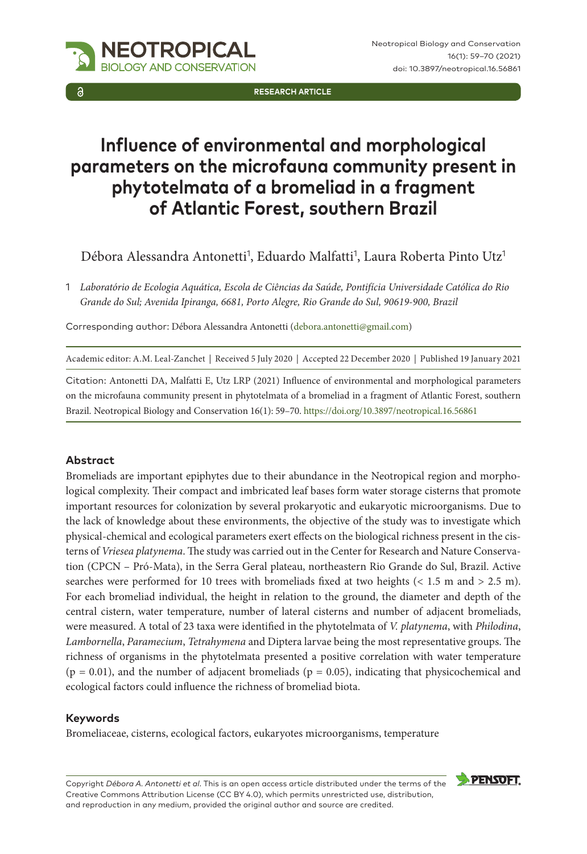

**Research Article**

# **Influence of environmental and morphological parameters on the microfauna community present in phytotelmata of a bromeliad in a fragment of Atlantic Forest, southern Brazil**

Débora Alessandra Antonetti<sup>1</sup>, Eduardo Malfatti<sup>1</sup>, Laura Roberta Pinto Utz<sup>1</sup>

1 *Laboratório de Ecologia Aquática, Escola de Ciências da Saúde, Pontifícia Universidade Católica do Rio Grande do Sul; Avenida Ipiranga, 6681, Porto Alegre, Rio Grande do Sul, 90619-900, Brazil*

Corresponding author: Débora Alessandra Antonetti [\(debora.antonetti@gmail.com\)](mailto:debora.antonetti@gmail.com)

Academic editor: A.M. Leal-Zanchet | Received 5 July 2020 | Accepted 22 December 2020 | Published 19 January 2021

Citation: Antonetti DA, Malfatti E, Utz LRP (2021) Influence of environmental and morphological parameters on the microfauna community present in phytotelmata of a bromeliad in a fragment of Atlantic Forest, southern Brazil. Neotropical Biology and Conservation 16(1): 59–70.<https://doi.org/10.3897/neotropical.16.56861>

## **Abstract**

Bromeliads are important epiphytes due to their abundance in the Neotropical region and morphological complexity. Their compact and imbricated leaf bases form water storage cisterns that promote important resources for colonization by several prokaryotic and eukaryotic microorganisms. Due to the lack of knowledge about these environments, the objective of the study was to investigate which physical-chemical and ecological parameters exert effects on the biological richness present in the cisterns of *Vriesea platynema*. The study was carried out in the Center for Research and Nature Conservation (CPCN – Pró-Mata), in the Serra Geral plateau, northeastern Rio Grande do Sul, Brazil. Active searches were performed for 10 trees with bromeliads fixed at two heights (< 1.5 m and > 2.5 m). For each bromeliad individual, the height in relation to the ground, the diameter and depth of the central cistern, water temperature, number of lateral cisterns and number of adjacent bromeliads, were measured. A total of 23 taxa were identified in the phytotelmata of *V. platynema*, with *Philodina*, *Lambornella*, *Paramecium*, *Tetrahymena* and Diptera larvae being the most representative groups. The richness of organisms in the phytotelmata presented a positive correlation with water temperature  $(p = 0.01)$ , and the number of adjacent bromeliads  $(p = 0.05)$ , indicating that physicochemical and ecological factors could influence the richness of bromeliad biota.

#### **Keywords**

Bromeliaceae, cisterns, ecological factors, eukaryotes microorganisms, temperature

Copyright *Débora A. Antonetti et al*. This is an open access article distributed under the terms of the [Creative Commons Attribution License \(CC BY 4.0\),](http://creativecommons.org/licenses/by/4.0/) which permits unrestricted use, distribution, and reproduction in any medium, provided the original author and source are credited.

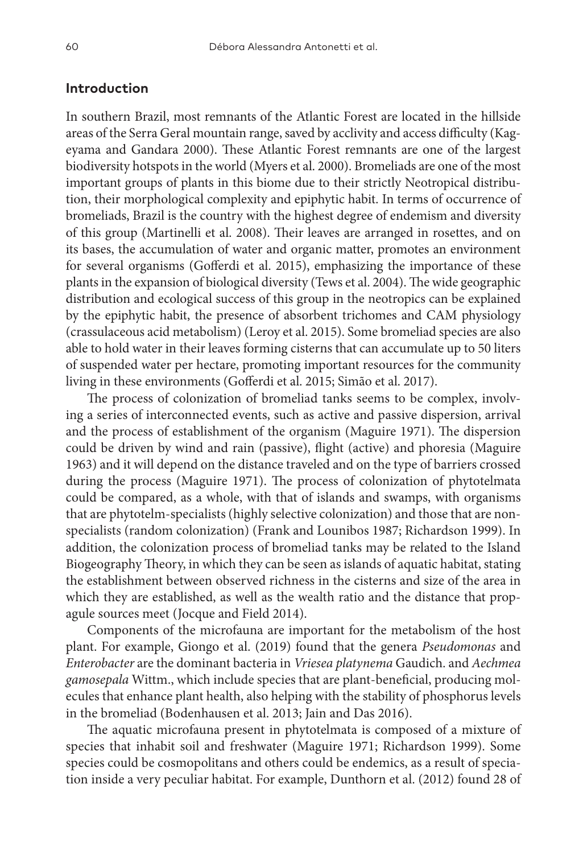## **Introduction**

In southern Brazil, most remnants of the Atlantic Forest are located in the hillside areas of the Serra Geral mountain range, saved by acclivity and access difficulty (Kageyama and Gandara 2000). These Atlantic Forest remnants are one of the largest biodiversity hotspots in the world (Myers et al. 2000). Bromeliads are one of the most important groups of plants in this biome due to their strictly Neotropical distribution, their morphological complexity and epiphytic habit. In terms of occurrence of bromeliads, Brazil is the country with the highest degree of endemism and diversity of this group (Martinelli et al. 2008). Their leaves are arranged in rosettes, and on its bases, the accumulation of water and organic matter, promotes an environment for several organisms (Gofferdi et al. 2015), emphasizing the importance of these plants in the expansion of biological diversity (Tews et al. 2004). The wide geographic distribution and ecological success of this group in the neotropics can be explained by the epiphytic habit, the presence of absorbent trichomes and CAM physiology (crassulaceous acid metabolism) (Leroy et al. 2015). Some bromeliad species are also able to hold water in their leaves forming cisterns that can accumulate up to 50 liters of suspended water per hectare, promoting important resources for the community living in these environments (Gofferdi et al. 2015; Simão et al. 2017).

The process of colonization of bromeliad tanks seems to be complex, involving a series of interconnected events, such as active and passive dispersion, arrival and the process of establishment of the organism (Maguire 1971). The dispersion could be driven by wind and rain (passive), flight (active) and phoresia (Maguire 1963) and it will depend on the distance traveled and on the type of barriers crossed during the process (Maguire 1971). The process of colonization of phytotelmata could be compared, as a whole, with that of islands and swamps, with organisms that are phytotelm-specialists (highly selective colonization) and those that are nonspecialists (random colonization) (Frank and Lounibos 1987; Richardson 1999). In addition, the colonization process of bromeliad tanks may be related to the Island Biogeography Theory, in which they can be seen as islands of aquatic habitat, stating the establishment between observed richness in the cisterns and size of the area in which they are established, as well as the wealth ratio and the distance that propagule sources meet (Jocque and Field 2014).

Components of the microfauna are important for the metabolism of the host plant. For example, Giongo et al. (2019) found that the genera *Pseudomonas* and *Enterobacter* are the dominant bacteria in *Vriesea platynema* Gaudich. and *Aechmea gamosepala* Wittm., which include species that are plant-beneficial, producing molecules that enhance plant health, also helping with the stability of phosphorus levels in the bromeliad (Bodenhausen et al. 2013; Jain and Das 2016).

The aquatic microfauna present in phytotelmata is composed of a mixture of species that inhabit soil and freshwater (Maguire 1971; Richardson 1999). Some species could be cosmopolitans and others could be endemics, as a result of speciation inside a very peculiar habitat. For example, Dunthorn et al. (2012) found 28 of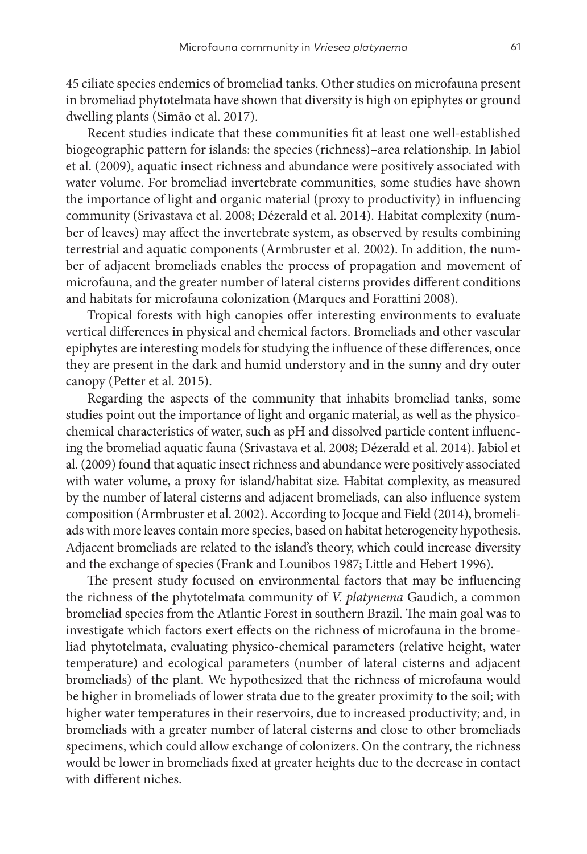45 ciliate species endemics of bromeliad tanks. Other studies on microfauna present in bromeliad phytotelmata have shown that diversity is high on epiphytes or ground dwelling plants (Simão et al. 2017).

Recent studies indicate that these communities fit at least one well-established biogeographic pattern for islands: the species (richness)–area relationship. In Jabiol et al. (2009), aquatic insect richness and abundance were positively associated with water volume. For bromeliad invertebrate communities, some studies have shown the importance of light and organic material (proxy to productivity) in influencing community (Srivastava et al. 2008; Dézerald et al. 2014). Habitat complexity (number of leaves) may affect the invertebrate system, as observed by results combining terrestrial and aquatic components (Armbruster et al. 2002). In addition, the number of adjacent bromeliads enables the process of propagation and movement of microfauna, and the greater number of lateral cisterns provides different conditions and habitats for microfauna colonization (Marques and Forattini 2008).

Tropical forests with high canopies offer interesting environments to evaluate vertical differences in physical and chemical factors. Bromeliads and other vascular epiphytes are interesting models for studying the influence of these differences, once they are present in the dark and humid understory and in the sunny and dry outer canopy (Petter et al. 2015).

Regarding the aspects of the community that inhabits bromeliad tanks, some studies point out the importance of light and organic material, as well as the physicochemical characteristics of water, such as pH and dissolved particle content influencing the bromeliad aquatic fauna (Srivastava et al. 2008; Dézerald et al. 2014). Jabiol et al. (2009) found that aquatic insect richness and abundance were positively associated with water volume, a proxy for island/habitat size. Habitat complexity, as measured by the number of lateral cisterns and adjacent bromeliads, can also influence system composition (Armbruster et al. 2002). According to Jocque and Field (2014), bromeliads with more leaves contain more species, based on habitat heterogeneity hypothesis. Adjacent bromeliads are related to the island's theory, which could increase diversity and the exchange of species (Frank and Lounibos 1987; Little and Hebert 1996).

The present study focused on environmental factors that may be influencing the richness of the phytotelmata community of *V. platynema* Gaudich, a common bromeliad species from the Atlantic Forest in southern Brazil. The main goal was to investigate which factors exert effects on the richness of microfauna in the bromeliad phytotelmata, evaluating physico-chemical parameters (relative height, water temperature) and ecological parameters (number of lateral cisterns and adjacent bromeliads) of the plant. We hypothesized that the richness of microfauna would be higher in bromeliads of lower strata due to the greater proximity to the soil; with higher water temperatures in their reservoirs, due to increased productivity; and, in bromeliads with a greater number of lateral cisterns and close to other bromeliads specimens, which could allow exchange of colonizers. On the contrary, the richness would be lower in bromeliads fixed at greater heights due to the decrease in contact with different niches.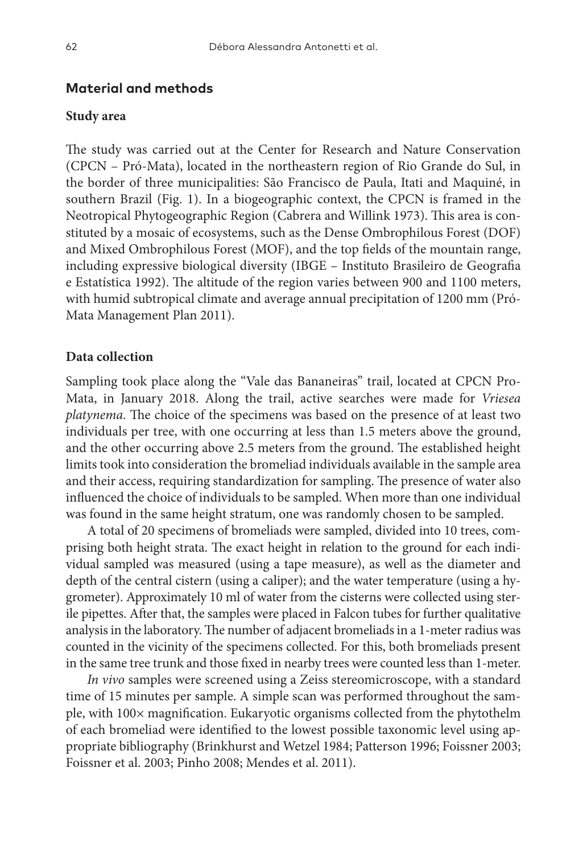## **Material and methods**

#### **Study area**

The study was carried out at the Center for Research and Nature Conservation (CPCN – Pró-Mata), located in the northeastern region of Rio Grande do Sul, in the border of three municipalities: São Francisco de Paula, Itati and Maquiné, in southern Brazil (Fig. 1). In a biogeographic context, the CPCN is framed in the Neotropical Phytogeographic Region (Cabrera and Willink 1973). This area is constituted by a mosaic of ecosystems, such as the Dense Ombrophilous Forest (DOF) and Mixed Ombrophilous Forest (MOF), and the top fields of the mountain range, including expressive biological diversity (IBGE – Instituto Brasileiro de Geografia e Estatística 1992). The altitude of the region varies between 900 and 1100 meters, with humid subtropical climate and average annual precipitation of 1200 mm (Pró-Mata Management Plan 2011).

#### **Data collection**

Sampling took place along the "Vale das Bananeiras" trail, located at CPCN Pro-Mata, in January 2018. Along the trail, active searches were made for *Vriesea platynema*. The choice of the specimens was based on the presence of at least two individuals per tree, with one occurring at less than 1.5 meters above the ground, and the other occurring above 2.5 meters from the ground. The established height limits took into consideration the bromeliad individuals available in the sample area and their access, requiring standardization for sampling. The presence of water also influenced the choice of individuals to be sampled. When more than one individual was found in the same height stratum, one was randomly chosen to be sampled.

A total of 20 specimens of bromeliads were sampled, divided into 10 trees, comprising both height strata. The exact height in relation to the ground for each individual sampled was measured (using a tape measure), as well as the diameter and depth of the central cistern (using a caliper); and the water temperature (using a hygrometer). Approximately 10 ml of water from the cisterns were collected using sterile pipettes. After that, the samples were placed in Falcon tubes for further qualitative analysis in the laboratory. The number of adjacent bromeliads in a 1-meter radius was counted in the vicinity of the specimens collected. For this, both bromeliads present in the same tree trunk and those fixed in nearby trees were counted less than 1-meter.

*In vivo* samples were screened using a Zeiss stereomicroscope, with a standard time of 15 minutes per sample. A simple scan was performed throughout the sample, with 100× magnification. Eukaryotic organisms collected from the phytothelm of each bromeliad were identified to the lowest possible taxonomic level using appropriate bibliography (Brinkhurst and Wetzel 1984; Patterson 1996; Foissner 2003; Foissner et al. 2003; Pinho 2008; Mendes et al. 2011).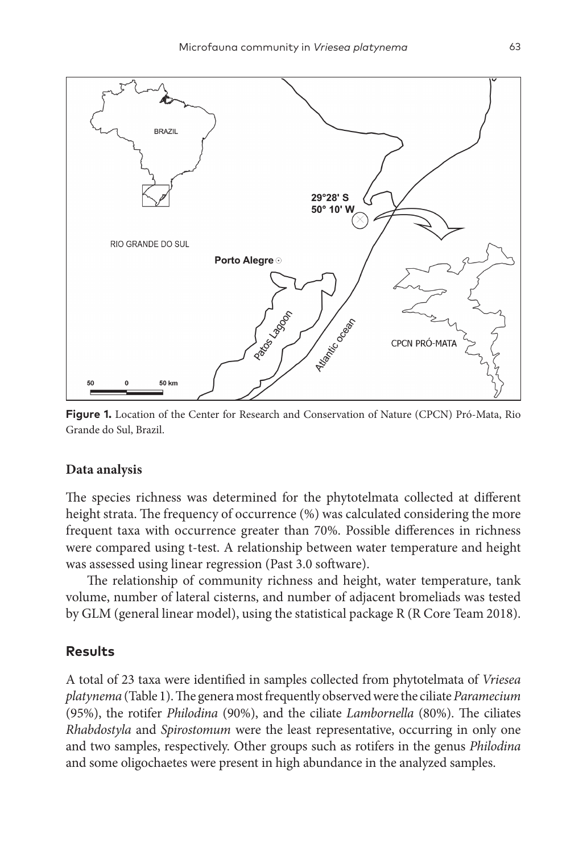

**Figure 1.** Location of the Center for Research and Conservation of Nature (CPCN) Pró-Mata, Rio Grande do Sul, Brazil.

#### **Data analysis**

The species richness was determined for the phytotelmata collected at different height strata. The frequency of occurrence (%) was calculated considering the more frequent taxa with occurrence greater than 70%. Possible differences in richness were compared using t-test. A relationship between water temperature and height was assessed using linear regression (Past 3.0 software).

The relationship of community richness and height, water temperature, tank volume, number of lateral cisterns, and number of adjacent bromeliads was tested by GLM (general linear model), using the statistical package R (R Core Team 2018).

## **Results**

A total of 23 taxa were identified in samples collected from phytotelmata of *Vriesea platynema* (Table 1). The genera most frequently observed were the ciliate *Paramecium* (95%), the rotifer *Philodina* (90%), and the ciliate *Lambornella* (80%). The ciliates *Rhabdostyla* and *Spirostomum* were the least representative, occurring in only one and two samples, respectively. Other groups such as rotifers in the genus *Philodina* and some oligochaetes were present in high abundance in the analyzed samples.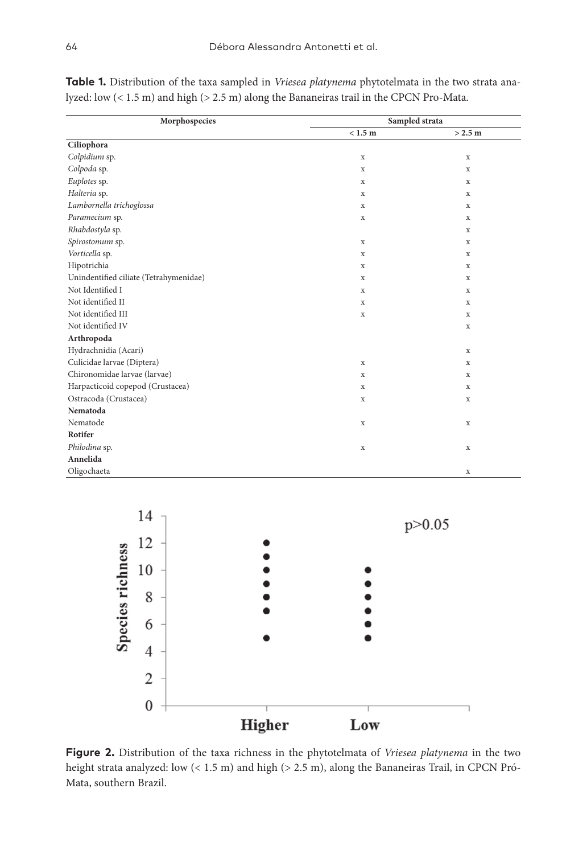| Morphospecies                          | Sampled strata |             |
|----------------------------------------|----------------|-------------|
|                                        | < 1.5 m        | > 2.5 m     |
| Ciliophora                             |                |             |
| Colpidium sp.                          | $\mathbf x$    | $\mathbf x$ |
| Colpoda sp.                            | $\mathbf x$    | $\mathbf x$ |
| Euplotes sp.                           | X              | x           |
| Halteria sp.                           | X              | x           |
| Lambornella trichoglossa               | X              | X           |
| Paramecium sp.                         | X              | x           |
| Rhabdostyla sp.                        |                | X           |
| Spirostomum sp.                        | X              | X           |
| Vorticella sp.                         | X              | $\mathbf x$ |
| Hipotrichia                            | $\mathbf x$    | X           |
| Unindentified ciliate (Tetrahymenidae) | X              | $\mathbf x$ |
| Not Identified I                       | X              | $\mathbf x$ |
| Not identified II                      | X              | $\mathbf x$ |
| Not identified III                     | X              | $\mathbf x$ |
| Not identified IV                      |                | $\mathbf x$ |
| Arthropoda                             |                |             |
| Hydrachnidia (Acari)                   |                | $\mathbf x$ |
| Culicidae larvae (Diptera)             | $\mathbf x$    | $\mathbf x$ |
| Chironomidae larvae (larvae)           | $\mathbf x$    | $\mathbf x$ |
| Harpacticoid copepod (Crustacea)       | $\mathbf x$    | $\mathbf x$ |
| Ostracoda (Crustacea)                  | X              | $\mathbf x$ |
| Nematoda                               |                |             |
| Nematode                               | X              | X           |
| Rotifer                                |                |             |
| Philodina sp.                          | $\mathbf x$    | $\mathbf x$ |
| Annelida                               |                |             |
| Oligochaeta                            |                | $\mathbf x$ |

**Table 1.** Distribution of the taxa sampled in *Vriesea platynema* phytotelmata in the two strata analyzed: low (< 1.5 m) and high (> 2.5 m) along the Bananeiras trail in the CPCN Pro-Mata.



**Figure 2.** Distribution of the taxa richness in the phytotelmata of *Vriesea platynema* in the two height strata analyzed: low (< 1.5 m) and high (> 2.5 m), along the Bananeiras Trail, in CPCN Pró-Mata, southern Brazil.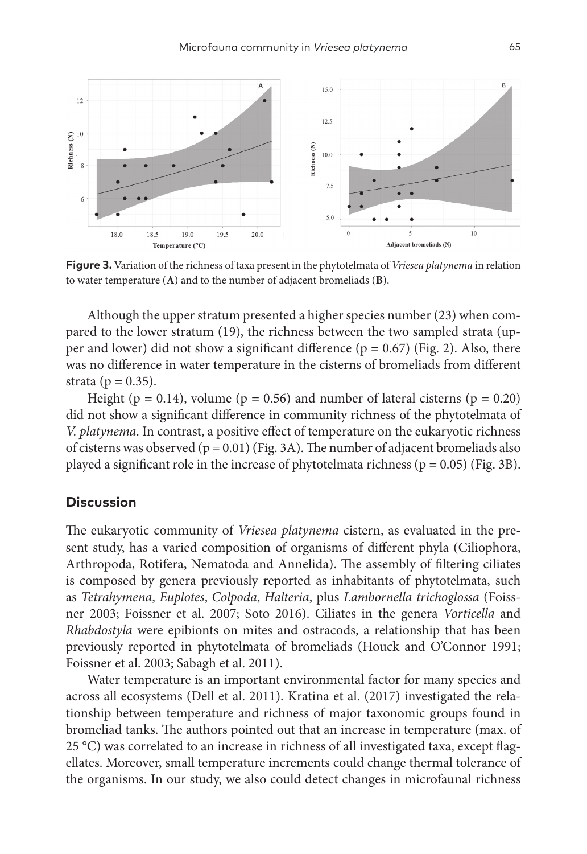

**Figure 3.** Variation of the richness of taxa present in the phytotelmata of *Vriesea platynema* in relation to water temperature (**A**) and to the number of adjacent bromeliads (**B**).

Although the upper stratum presented a higher species number (23) when compared to the lower stratum (19), the richness between the two sampled strata (upper and lower) did not show a significant difference ( $p = 0.67$ ) (Fig. 2). Also, there was no difference in water temperature in the cisterns of bromeliads from different strata ( $p = 0.35$ ).

Height ( $p = 0.14$ ), volume ( $p = 0.56$ ) and number of lateral cisterns ( $p = 0.20$ ) did not show a significant difference in community richness of the phytotelmata of *V. platynema*. In contrast, a positive effect of temperature on the eukaryotic richness of cisterns was observed ( $p = 0.01$ ) (Fig. 3A). The number of adjacent bromeliads also played a significant role in the increase of phytotelmata richness ( $p = 0.05$ ) (Fig. 3B).

## **Discussion**

The eukaryotic community of *Vriesea platynema* cistern, as evaluated in the present study, has a varied composition of organisms of different phyla (Ciliophora, Arthropoda, Rotifera, Nematoda and Annelida). The assembly of filtering ciliates is composed by genera previously reported as inhabitants of phytotelmata, such as *Tetrahymena*, *Euplotes*, *Colpoda*, *Halteria*, plus *Lambornella trichoglossa* (Foissner 2003; Foissner et al. 2007; Soto 2016). Ciliates in the genera *Vorticella* and *Rhabdostyla* were epibionts on mites and ostracods, a relationship that has been previously reported in phytotelmata of bromeliads (Houck and O'Connor 1991; Foissner et al. 2003; Sabagh et al. 2011).

Water temperature is an important environmental factor for many species and across all ecosystems (Dell et al. 2011). Kratina et al. (2017) investigated the relationship between temperature and richness of major taxonomic groups found in bromeliad tanks. The authors pointed out that an increase in temperature (max. of 25 °C) was correlated to an increase in richness of all investigated taxa, except flagellates. Moreover, small temperature increments could change thermal tolerance of the organisms. In our study, we also could detect changes in microfaunal richness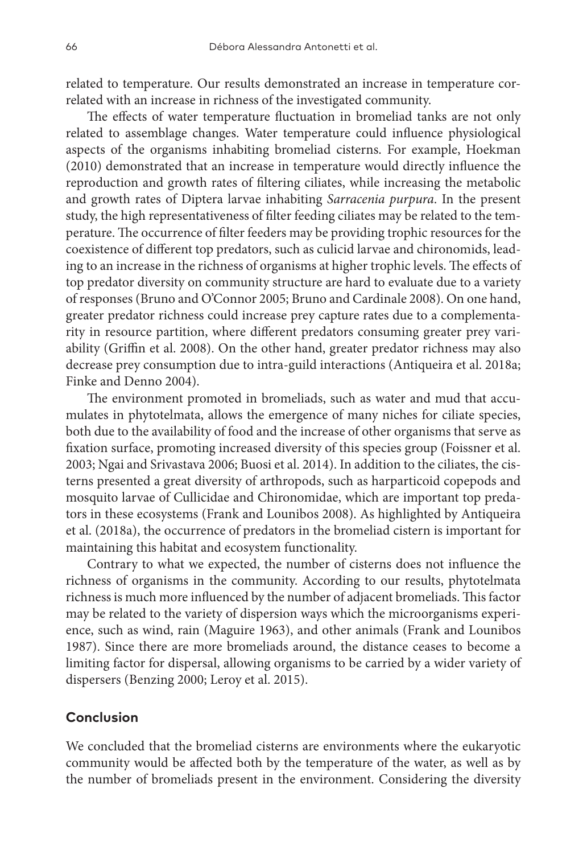related to temperature. Our results demonstrated an increase in temperature correlated with an increase in richness of the investigated community.

The effects of water temperature fluctuation in bromeliad tanks are not only related to assemblage changes. Water temperature could influence physiological aspects of the organisms inhabiting bromeliad cisterns. For example, Hoekman (2010) demonstrated that an increase in temperature would directly influence the reproduction and growth rates of filtering ciliates, while increasing the metabolic and growth rates of Diptera larvae inhabiting *Sarracenia purpura*. In the present study, the high representativeness of filter feeding ciliates may be related to the temperature. The occurrence of filter feeders may be providing trophic resources for the coexistence of different top predators, such as culicid larvae and chironomids, leading to an increase in the richness of organisms at higher trophic levels. The effects of top predator diversity on community structure are hard to evaluate due to a variety of responses (Bruno and O'Connor 2005; Bruno and Cardinale 2008). On one hand, greater predator richness could increase prey capture rates due to a complementarity in resource partition, where different predators consuming greater prey variability (Griffin et al. 2008). On the other hand, greater predator richness may also decrease prey consumption due to intra-guild interactions (Antiqueira et al. 2018a; Finke and Denno 2004).

The environment promoted in bromeliads, such as water and mud that accumulates in phytotelmata, allows the emergence of many niches for ciliate species, both due to the availability of food and the increase of other organisms that serve as fixation surface, promoting increased diversity of this species group (Foissner et al. 2003; Ngai and Srivastava 2006; Buosi et al. 2014). In addition to the ciliates, the cisterns presented a great diversity of arthropods, such as harparticoid copepods and mosquito larvae of Cullicidae and Chironomidae, which are important top predators in these ecosystems (Frank and Lounibos 2008). As highlighted by Antiqueira et al. (2018a), the occurrence of predators in the bromeliad cistern is important for maintaining this habitat and ecosystem functionality.

Contrary to what we expected, the number of cisterns does not influence the richness of organisms in the community. According to our results, phytotelmata richness is much more influenced by the number of adjacent bromeliads. This factor may be related to the variety of dispersion ways which the microorganisms experience, such as wind, rain (Maguire 1963), and other animals (Frank and Lounibos 1987). Since there are more bromeliads around, the distance ceases to become a limiting factor for dispersal, allowing organisms to be carried by a wider variety of dispersers (Benzing 2000; Leroy et al. 2015).

# **Conclusion**

We concluded that the bromeliad cisterns are environments where the eukaryotic community would be affected both by the temperature of the water, as well as by the number of bromeliads present in the environment. Considering the diversity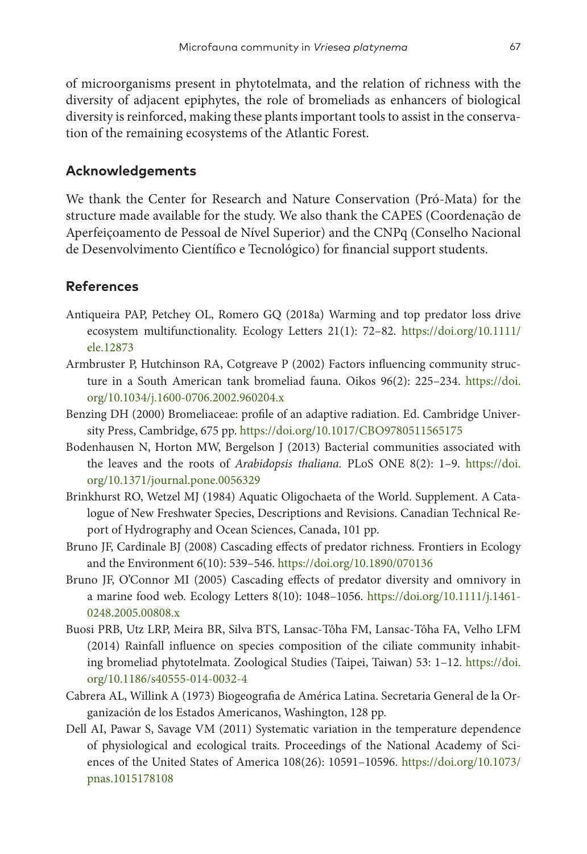of microorganisms present in phytotelmata, and the relation of richness with the diversity of adjacent epiphytes, the role of bromeliads as enhancers of biological diversity is reinforced, making these plants important tools to assist in the conservation of the remaining ecosystems of the Atlantic Forest.

#### **Acknowledgements**

We thank the Center for Research and Nature Conservation (Pró-Mata) for the structure made available for the study. We also thank the CAPES (Coordenação de Aperfeiçoamento de Pessoal de Nível Superior) and the CNPq (Conselho Nacional de Desenvolvimento Científico e Tecnológico) for financial support students.

# **References**

- Antiqueira PAP, Petchey OL, Romero GQ (2018a) Warming and top predator loss drive ecosystem multifunctionality. Ecology Letters 21(1): 72–82. [https://doi.org/10.1111/](https://doi.org/10.1111/ele.12873) [ele.12873](https://doi.org/10.1111/ele.12873)
- Armbruster P, Hutchinson RA, Cotgreave P (2002) Factors influencing community structure in a South American tank bromeliad fauna. Oikos 96(2): 225–234. [https://doi.](https://doi.org/10.1034/j.1600-0706.2002.960204.x) [org/10.1034/j.1600-0706.2002.960204.x](https://doi.org/10.1034/j.1600-0706.2002.960204.x)
- Benzing DH (2000) Bromeliaceae: profile of an adaptive radiation. Ed. Cambridge University Press, Cambridge, 675 pp.<https://doi.org/10.1017/CBO9780511565175>
- Bodenhausen N, Horton MW, Bergelson J (2013) Bacterial communities associated with the leaves and the roots of *Arabidopsis thaliana.* PLoS ONE 8(2): 1–9. [https://doi.](https://doi.org/10.1371/journal.pone.0056329) [org/10.1371/journal.pone.0056329](https://doi.org/10.1371/journal.pone.0056329)
- Brinkhurst RO, Wetzel MJ (1984) Aquatic Oligochaeta of the World. Supplement. A Catalogue of New Freshwater Species, Descriptions and Revisions. Canadian Technical Report of Hydrography and Ocean Sciences, Canada, 101 pp.
- Bruno JF, Cardinale BJ (2008) Cascading effects of predator richness. Frontiers in Ecology and the Environment 6(10): 539–546.<https://doi.org/10.1890/070136>
- Bruno JF, O'Connor MI (2005) Cascading effects of predator diversity and omnivory in a marine food web. Ecology Letters 8(10): 1048–1056. [https://doi.org/10.1111/j.1461-](https://doi.org/10.1111/j.1461-0248.2005.00808.x) [0248.2005.00808.x](https://doi.org/10.1111/j.1461-0248.2005.00808.x)
- Buosi PRB, Utz LRP, Meira BR, Silva BTS, Lansac-Tôha FM, Lansac-Tôha FA, Velho LFM (2014) Rainfall influence on species composition of the ciliate community inhabiting bromeliad phytotelmata. Zoological Studies (Taipei, Taiwan) 53: 1–12. [https://doi.](https://doi.org/10.1186/s40555-014-0032-4) [org/10.1186/s40555-014-0032-4](https://doi.org/10.1186/s40555-014-0032-4)
- Cabrera AL, Willink A (1973) Biogeografia de América Latina. Secretaria General de la Organización de los Estados Americanos, Washington, 128 pp.
- Dell AI, Pawar S, Savage VM (2011) Systematic variation in the temperature dependence of physiological and ecological traits. Proceedings of the National Academy of Sciences of the United States of America 108(26): 10591–10596. [https://doi.org/10.1073/](https://doi.org/10.1073/pnas.1015178108) [pnas.1015178108](https://doi.org/10.1073/pnas.1015178108)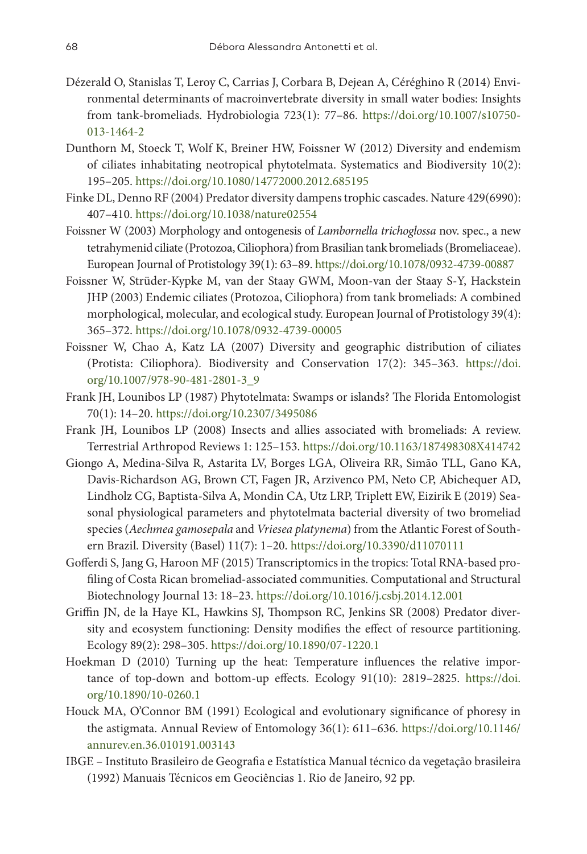- Dézerald O, Stanislas T, Leroy C, Carrias J, Corbara B, Dejean A, Céréghino R (2014) Environmental determinants of macroinvertebrate diversity in small water bodies: Insights from tank-bromeliads. Hydrobiologia 723(1): 77–86. [https://doi.org/10.1007/s10750-](https://doi.org/10.1007/s10750-013-1464-2) [013-1464-2](https://doi.org/10.1007/s10750-013-1464-2)
- Dunthorn M, Stoeck T, Wolf K, Breiner HW, Foissner W (2012) Diversity and endemism of ciliates inhabitating neotropical phytotelmata. Systematics and Biodiversity 10(2): 195–205.<https://doi.org/10.1080/14772000.2012.685195>
- Finke DL, Denno RF (2004) Predator diversity dampenstrophic cascades. Nature 429(6990): 407–410. <https://doi.org/10.1038/nature02554>
- Foissner W (2003) Morphology and ontogenesis of *Lambornella trichoglossa* nov. spec., a new tetrahymenid ciliate (Protozoa, Ciliophora) from Brasilian tank bromeliads (Bromeliaceae). European Journal of Protistology 39(1): 63–89.<https://doi.org/10.1078/0932-4739-00887>
- Foissner W, Strüder-Kypke M, van der Staay GWM, Moon-van der Staay S-Y, Hackstein JHP (2003) Endemic ciliates (Protozoa, Ciliophora) from tank bromeliads: A combined morphological, molecular, and ecological study. European Journal of Protistology 39(4): 365–372.<https://doi.org/10.1078/0932-4739-00005>
- Foissner W, Chao A, Katz LA (2007) Diversity and geographic distribution of ciliates (Protista: Ciliophora). Biodiversity and Conservation 17(2): 345–363. [https://doi.](https://doi.org/10.1007/978-90-481-2801-3_9) [org/10.1007/978-90-481-2801-3\\_9](https://doi.org/10.1007/978-90-481-2801-3_9)
- Frank JH, Lounibos LP (1987) Phytotelmata: Swamps or islands? The Florida Entomologist 70(1): 14–20.<https://doi.org/10.2307/3495086>
- Frank JH, Lounibos LP (2008) Insects and allies associated with bromeliads: A review. Terrestrial Arthropod Reviews 1: 125–153. <https://doi.org/10.1163/187498308X414742>
- Giongo A, Medina-Silva R, Astarita LV, Borges LGA, Oliveira RR, Simão TLL, Gano KA, Davis-Richardson AG, Brown CT, Fagen JR, Arzivenco PM, Neto CP, Abichequer AD, Lindholz CG, Baptista-Silva A, Mondin CA, Utz LRP, Triplett EW, Eizirik E (2019) Seasonal physiological parameters and phytotelmata bacterial diversity of two bromeliad species (*Aechmea gamosepala* and *Vriesea platynema*) from the Atlantic Forest of Southern Brazil. Diversity (Basel) 11(7): 1–20. <https://doi.org/10.3390/d11070111>
- Gofferdi S, Jang G, Haroon MF (2015) Transcriptomics in the tropics: Total RNA-based profiling of Costa Rican bromeliad-associated communities. Computational and Structural Biotechnology Journal 13: 18–23. <https://doi.org/10.1016/j.csbj.2014.12.001>
- Griffin JN, de la Haye KL, Hawkins SJ, Thompson RC, Jenkins SR (2008) Predator diversity and ecosystem functioning: Density modifies the effect of resource partitioning. Ecology 89(2): 298–305. <https://doi.org/10.1890/07-1220.1>
- Hoekman D (2010) Turning up the heat: Temperature influences the relative importance of top-down and bottom-up effects. Ecology 91(10): 2819–2825. [https://doi.](https://doi.org/10.1890/10-0260.1) [org/10.1890/10-0260.1](https://doi.org/10.1890/10-0260.1)
- Houck MA, O'Connor BM (1991) Ecological and evolutionary significance of phoresy in the astigmata. Annual Review of Entomology 36(1): 611–636. [https://doi.org/10.1146/](https://doi.org/10.1146/annurev.en.36.010191.003143) [annurev.en.36.010191.003143](https://doi.org/10.1146/annurev.en.36.010191.003143)
- IBGE Instituto Brasileiro de Geografia e Estatística Manual técnico da vegetação brasileira (1992) Manuais Técnicos em Geociências 1. Rio de Janeiro, 92 pp.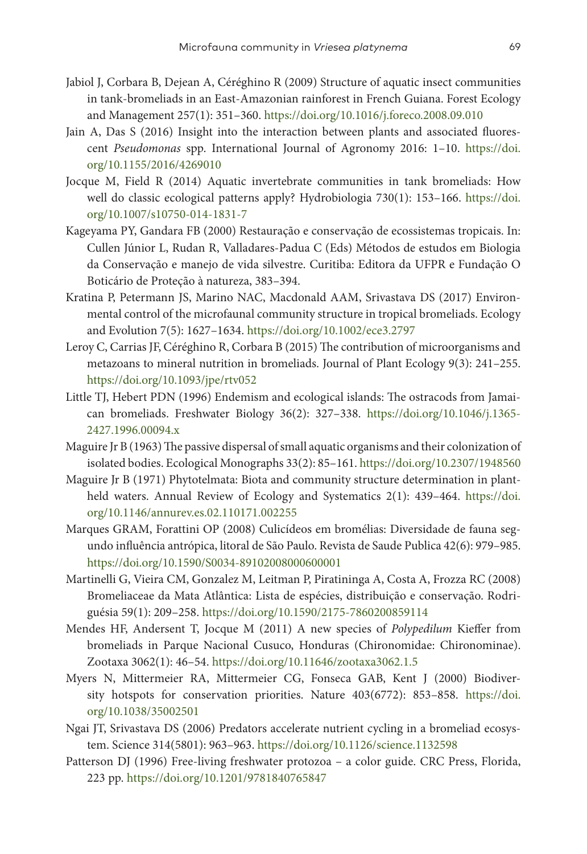- Jabiol J, Corbara B, Dejean A, Céréghino R (2009) Structure of aquatic insect communities in tank-bromeliads in an East-Amazonian rainforest in French Guiana. Forest Ecology and Management 257(1): 351–360. <https://doi.org/10.1016/j.foreco.2008.09.010>
- Jain A, Das S (2016) Insight into the interaction between plants and associated fluorescent *Pseudomonas* spp. International Journal of Agronomy 2016: 1–10. [https://doi.](https://doi.org/10.1155/2016/4269010) [org/10.1155/2016/4269010](https://doi.org/10.1155/2016/4269010)
- Jocque M, Field R (2014) Aquatic invertebrate communities in tank bromeliads: How well do classic ecological patterns apply? Hydrobiologia 730(1): 153–166. [https://doi.](https://doi.org/10.1007/s10750-014-1831-7) [org/10.1007/s10750-014-1831-7](https://doi.org/10.1007/s10750-014-1831-7)
- Kageyama PY, Gandara FB (2000) Restauração e conservação de ecossistemas tropicais. In: Cullen Júnior L, Rudan R, Valladares-Padua C (Eds) Métodos de estudos em Biologia da Conservação e manejo de vida silvestre. Curitiba: Editora da UFPR e Fundação O Boticário de Proteção à natureza, 383–394.
- Kratina P, Petermann JS, Marino NAC, Macdonald AAM, Srivastava DS (2017) Environmental control of the microfaunal community structure in tropical bromeliads. Ecology and Evolution 7(5): 1627–1634.<https://doi.org/10.1002/ece3.2797>
- Leroy C, Carrias JF, Céréghino R, Corbara B (2015) The contribution of microorganisms and metazoans to mineral nutrition in bromeliads. Journal of Plant Ecology 9(3): 241–255. <https://doi.org/10.1093/jpe/rtv052>
- Little TJ, Hebert PDN (1996) Endemism and ecological islands: The ostracods from Jamaican bromeliads. Freshwater Biology 36(2): 327–338. [https://doi.org/10.1046/j.1365-](https://doi.org/10.1046/j.1365-2427.1996.00094.x) [2427.1996.00094.x](https://doi.org/10.1046/j.1365-2427.1996.00094.x)
- Maguire Jr B (1963) The passive dispersal ofsmall aquatic organisms and their colonization of isolated bodies. Ecological Monographs 33(2): 85–161.<https://doi.org/10.2307/1948560>
- Maguire Jr B (1971) Phytotelmata: Biota and community structure determination in plantheld waters. Annual Review of Ecology and Systematics 2(1): 439–464. [https://doi.](https://doi.org/10.1146/annurev.es.02.110171.002255) [org/10.1146/annurev.es.02.110171.002255](https://doi.org/10.1146/annurev.es.02.110171.002255)
- Marques GRAM, Forattini OP (2008) Culicídeos em bromélias: Diversidade de fauna segundo influência antrópica, litoral de São Paulo. Revista de Saude Publica 42(6): 979–985. <https://doi.org/10.1590/S0034-89102008000600001>
- Martinelli G, Vieira CM, Gonzalez M, Leitman P, Piratininga A, Costa A, Frozza RC (2008) Bromeliaceae da Mata Atlântica: Lista de espécies, distribuição e conservação. Rodriguésia 59(1): 209–258.<https://doi.org/10.1590/2175-7860200859114>
- Mendes HF, Andersent T, Jocque M (2011) A new species of *Polypedilum* Kieffer from bromeliads in Parque Nacional Cusuco, Honduras (Chironomidae: Chironominae). Zootaxa 3062(1): 46–54.<https://doi.org/10.11646/zootaxa3062.1.5>
- Myers N, Mittermeier RA, Mittermeier CG, Fonseca GAB, Kent J (2000) Biodiversity hotspots for conservation priorities. Nature 403(6772): 853–858. [https://doi.](https://doi.org/10.1038/35002501) [org/10.1038/35002501](https://doi.org/10.1038/35002501)
- Ngai JT, Srivastava DS (2006) Predators accelerate nutrient cycling in a bromeliad ecosystem. Science 314(5801): 963–963.<https://doi.org/10.1126/science.1132598>
- Patterson DJ (1996) Free-living freshwater protozoa a color guide. CRC Press, Florida, 223 pp.<https://doi.org/10.1201/9781840765847>